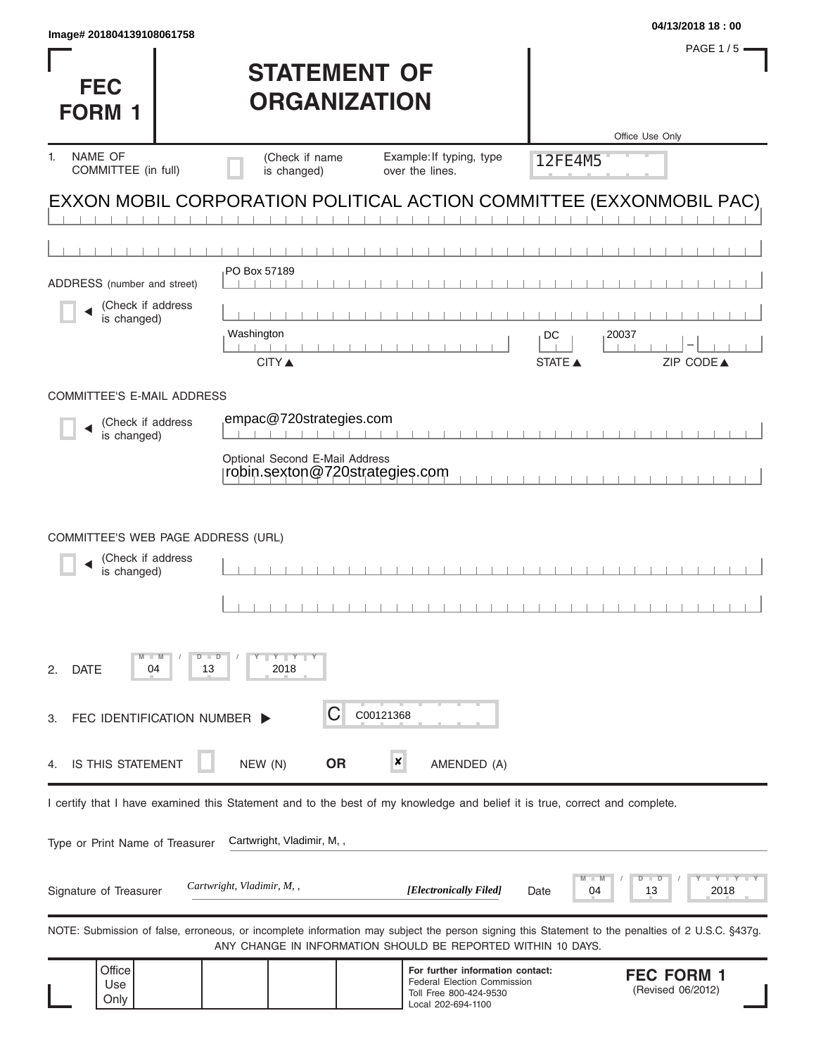| Image# 201804139108061758                                                                                                                         |                                                                  |                                                                                    |            | 04/13/2018 18:00                               |
|---------------------------------------------------------------------------------------------------------------------------------------------------|------------------------------------------------------------------|------------------------------------------------------------------------------------|------------|------------------------------------------------|
|                                                                                                                                                   |                                                                  |                                                                                    |            | <b>PAGE 1/5</b>                                |
|                                                                                                                                                   | <b>STATEMENT OF</b>                                              |                                                                                    |            |                                                |
| <b>FEC</b>                                                                                                                                        | <b>ORGANIZATION</b>                                              |                                                                                    |            |                                                |
| <b>FORM 1</b>                                                                                                                                     |                                                                  |                                                                                    |            | Office Use Only                                |
| <b>NAME OF</b><br>1.                                                                                                                              | (Check if name                                                   | Example: If typing, type                                                           | 12FE4M5    |                                                |
| COMMITTEE (in full)                                                                                                                               | is changed)                                                      | over the lines.                                                                    |            |                                                |
| EXXON MOBIL CORPORATION POLITICAL ACTION COMMITTEE (EXXONMOBIL PAC)                                                                               |                                                                  |                                                                                    |            |                                                |
|                                                                                                                                                   |                                                                  |                                                                                    |            |                                                |
|                                                                                                                                                   | PO Box 57189                                                     |                                                                                    |            |                                                |
| ADDRESS (number and street)                                                                                                                       |                                                                  |                                                                                    |            |                                                |
| (Check if address<br>is changed)                                                                                                                  |                                                                  |                                                                                    |            |                                                |
|                                                                                                                                                   | Washington                                                       |                                                                                    | DC         | 20037                                          |
|                                                                                                                                                   | <b>CITY</b> ▲                                                    |                                                                                    | STATE A    | ZIP CODE▲                                      |
| COMMITTEE'S E-MAIL ADDRESS                                                                                                                        |                                                                  |                                                                                    |            |                                                |
| (Check if address                                                                                                                                 | empac@720strategies.com                                          |                                                                                    |            |                                                |
| is changed)                                                                                                                                       |                                                                  |                                                                                    |            |                                                |
|                                                                                                                                                   | Optional Second E-Mail Address<br>robin.sexton@720strategies.com |                                                                                    |            |                                                |
|                                                                                                                                                   |                                                                  |                                                                                    |            |                                                |
|                                                                                                                                                   |                                                                  |                                                                                    |            |                                                |
| COMMITTEE'S WEB PAGE ADDRESS (URL)                                                                                                                |                                                                  |                                                                                    |            |                                                |
| (Check if address<br>is changed)                                                                                                                  |                                                                  |                                                                                    |            |                                                |
|                                                                                                                                                   |                                                                  |                                                                                    |            |                                                |
|                                                                                                                                                   |                                                                  |                                                                                    |            |                                                |
| M<br>$D$ $\Box$ $D$                                                                                                                               | $Y \parallel Y$                                                  |                                                                                    |            |                                                |
| <b>DATE</b><br>04<br>13<br>2.                                                                                                                     | 2018                                                             |                                                                                    |            |                                                |
|                                                                                                                                                   |                                                                  |                                                                                    |            |                                                |
| FEC IDENTIFICATION NUMBER ><br>З.                                                                                                                 | C                                                                | C00121368                                                                          |            |                                                |
| IS THIS STATEMENT<br>4.                                                                                                                           | <b>OR</b><br>NEW (N)                                             | x<br>AMENDED (A)                                                                   |            |                                                |
|                                                                                                                                                   |                                                                  |                                                                                    |            |                                                |
| I certify that I have examined this Statement and to the best of my knowledge and belief it is true, correct and complete.                        |                                                                  |                                                                                    |            |                                                |
| Type or Print Name of Treasurer                                                                                                                   | Cartwright, Vladimir, M,,                                        |                                                                                    |            |                                                |
|                                                                                                                                                   |                                                                  |                                                                                    |            |                                                |
| Signature of Treasurer                                                                                                                            | Cartwright, Vladimir, M,,                                        | [Electronically Filed]                                                             | 04<br>Date | $- Y - Y - Y - I$<br>D<br>$\Box$<br>2018<br>13 |
|                                                                                                                                                   |                                                                  |                                                                                    |            |                                                |
| NOTE: Submission of false, erroneous, or incomplete information may subject the person signing this Statement to the penalties of 2 U.S.C. §437g. |                                                                  | ANY CHANGE IN INFORMATION SHOULD BE REPORTED WITHIN 10 DAYS.                       |            |                                                |
| Office                                                                                                                                            |                                                                  | For further information contact:                                                   |            | <b>FEC FORM 1</b>                              |
| Use<br>Only                                                                                                                                       |                                                                  | <b>Federal Election Commission</b><br>Toll Free 800-424-9530<br>Local 202-694-1100 |            | (Revised 06/2012)                              |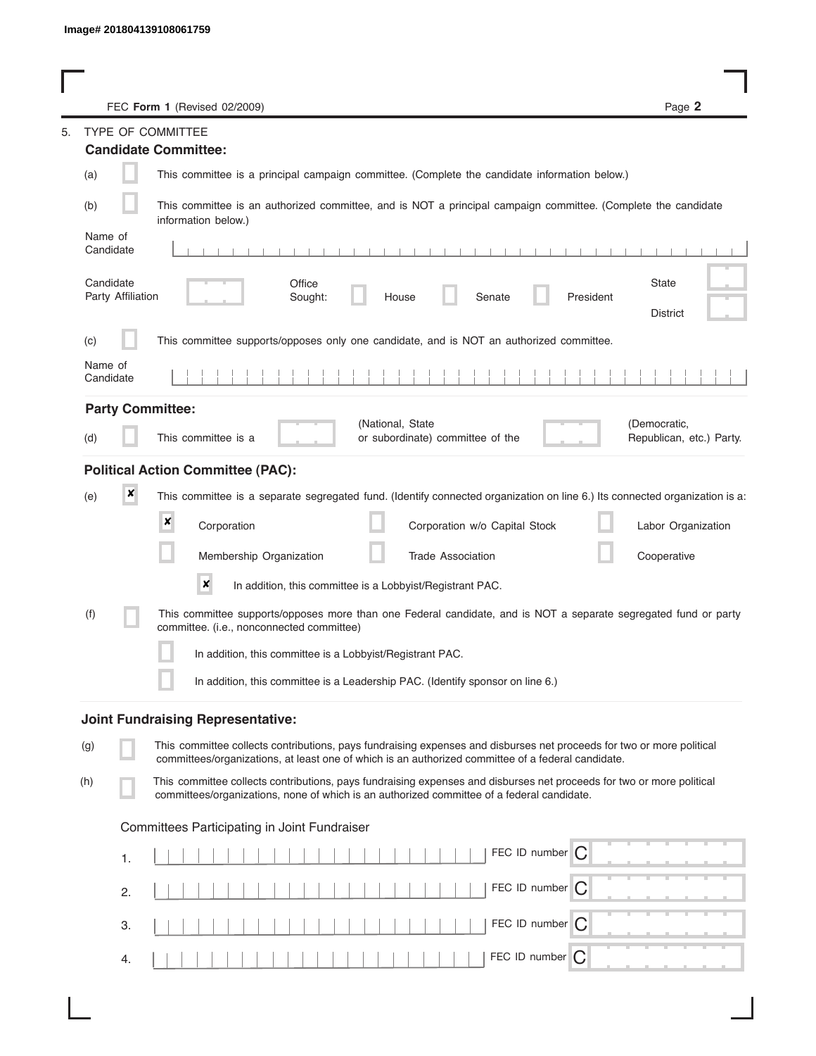|                      |                                                         | FEC Form 1 (Revised 02/2009)                                                                                                                                                                                                | Page 2                                   |
|----------------------|---------------------------------------------------------|-----------------------------------------------------------------------------------------------------------------------------------------------------------------------------------------------------------------------------|------------------------------------------|
| 5.                   | <b>TYPE OF COMMITTEE</b><br><b>Candidate Committee:</b> |                                                                                                                                                                                                                             |                                          |
|                      |                                                         |                                                                                                                                                                                                                             |                                          |
| (a)                  |                                                         | This committee is a principal campaign committee. (Complete the candidate information below.)                                                                                                                               |                                          |
| (b)                  |                                                         | This committee is an authorized committee, and is NOT a principal campaign committee. (Complete the candidate<br>information below.)                                                                                        |                                          |
| Name of<br>Candidate |                                                         | .                                                                                                                                                                                                                           |                                          |
| Candidate            | Party Affiliation                                       | Office<br>Sought:<br>House<br>Senate<br>President                                                                                                                                                                           | State<br><b>District</b>                 |
| (C)                  |                                                         | This committee supports/opposes only one candidate, and is NOT an authorized committee.                                                                                                                                     |                                          |
| Name of<br>Candidate |                                                         |                                                                                                                                                                                                                             |                                          |
|                      | <b>Party Committee:</b>                                 |                                                                                                                                                                                                                             |                                          |
| (d)                  |                                                         | (National, State<br>This committee is a<br>or subordinate) committee of the                                                                                                                                                 | (Democratic,<br>Republican, etc.) Party. |
|                      |                                                         | <b>Political Action Committee (PAC):</b>                                                                                                                                                                                    |                                          |
| (e)                  | ×                                                       | This committee is a separate segregated fund. (Identify connected organization on line 6.) Its connected organization is a:                                                                                                 |                                          |
|                      | ×                                                       | Corporation<br>Corporation w/o Capital Stock                                                                                                                                                                                | Labor Organization                       |
|                      |                                                         | Membership Organization<br><b>Trade Association</b>                                                                                                                                                                         | Cooperative                              |
|                      |                                                         | $\pmb{\times}$<br>In addition, this committee is a Lobbyist/Registrant PAC.                                                                                                                                                 |                                          |
| (t)                  |                                                         | This committee supports/opposes more than one Federal candidate, and is NOT a separate segregated fund or party<br>committee. (i.e., nonconnected committee)                                                                |                                          |
|                      |                                                         | In addition, this committee is a Lobbyist/Registrant PAC.                                                                                                                                                                   |                                          |
|                      |                                                         | In addition, this committee is a Leadership PAC. (Identify sponsor on line 6.)                                                                                                                                              |                                          |
|                      |                                                         | <b>Joint Fundraising Representative:</b>                                                                                                                                                                                    |                                          |
| (g)                  |                                                         | This committee collects contributions, pays fundraising expenses and disburses net proceeds for two or more political<br>committees/organizations, at least one of which is an authorized committee of a federal candidate. |                                          |
| (h)                  |                                                         | This committee collects contributions, pays fundraising expenses and disburses net proceeds for two or more political<br>committees/organizations, none of which is an authorized committee of a federal candidate.         |                                          |
|                      |                                                         | Committees Participating in Joint Fundraiser                                                                                                                                                                                |                                          |
|                      |                                                         | FEC ID number $\bigcirc$                                                                                                                                                                                                    |                                          |
|                      | 1.                                                      |                                                                                                                                                                                                                             |                                          |
|                      | 2.                                                      | FEC ID number C                                                                                                                                                                                                             |                                          |
|                      | З.                                                      | FEC ID number   C                                                                                                                                                                                                           |                                          |
|                      | 4.                                                      | FEC ID number $\bigcap$                                                                                                                                                                                                     |                                          |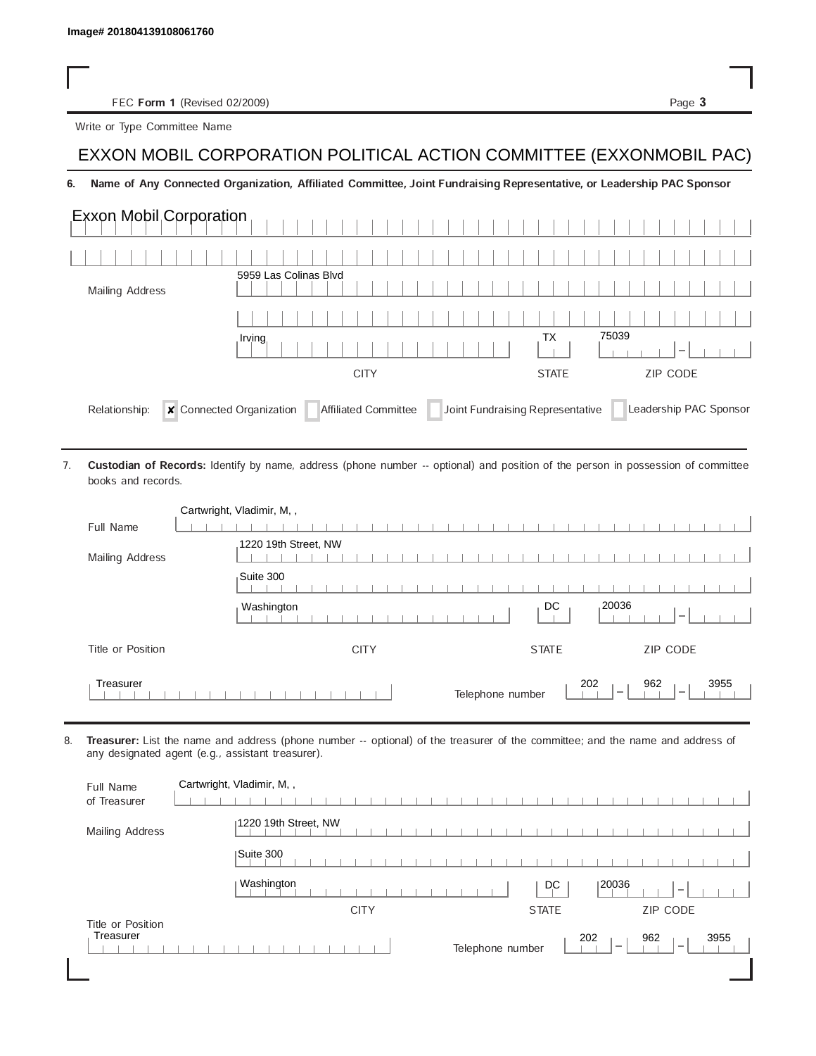FEC Form 1 (Revised 02/2009) Page 3

Write or Type Committee Name

## Image# 201804139108061760<br>
FEC Form 1 (Revised 02/2009)<br>
Write or Type Committee Name<br>
EXXON MOBIL CORPORATION POLITICAL ACTION COMMITTEE (EXXONMOBIL PAC)

## 6. Name of Any Connected Organization, Affiliated Committee, Joint Fundraising Representative, or Leadership PAC Sponsor

| <b>Exxon Mobil Corporation</b> |                                                         |                                  |                                   |
|--------------------------------|---------------------------------------------------------|----------------------------------|-----------------------------------|
|                                |                                                         |                                  |                                   |
| <b>Mailing Address</b>         | 5959 Las Colinas Blvd                                   |                                  |                                   |
|                                |                                                         |                                  |                                   |
|                                | Irving                                                  | <b>TX</b>                        | 75039<br>$\overline{\phantom{a}}$ |
|                                | <b>CITY</b>                                             | <b>STATE</b>                     | <b>ZIP CODE</b>                   |
| Relationship:                  | <b>x</b> Connected Organization<br>Affiliated Committee | Joint Fundraising Representative | Leadership PAC Sponsor            |

Custodian of Records: Identify by name, address (phone number -- optional) and position of the person in possession of committee books and records. 7.

|                   | Cartwright, Vladimir, M,,                                                                      |
|-------------------|------------------------------------------------------------------------------------------------|
| Full Name         |                                                                                                |
| Mailing Address   | 1220 19th Street, NW                                                                           |
|                   | Suite 300                                                                                      |
|                   | 20036<br>DC<br>Washington                                                                      |
| Title or Position | ZIP CODE<br><b>CITY</b><br><b>STATE</b>                                                        |
| Treasurer         | 202<br>962<br>3955<br>Telephone number<br>$\overline{\phantom{a}}$<br>$\overline{\phantom{a}}$ |

8. Treasurer: List the name and address (phone number -- optional) of the treasurer of the committee; and the name and address of any designated agent (e.g., assistant treasurer).

| Full Name<br>of Treasurer      | Cartwright, Vladimir, M,,                                                                             |
|--------------------------------|-------------------------------------------------------------------------------------------------------|
| Mailing Address                | 1220 19th Street, NW                                                                                  |
|                                | Suite 300                                                                                             |
|                                | Washington<br>120036<br>DC<br>$\overline{\phantom{a}}$                                                |
|                                | <b>CITY</b><br><b>STATE</b><br>ZIP CODE                                                               |
| Title or Position<br>Treasurer | 202<br>962<br>3955<br>Telephone number<br>$\hspace{0.1mm}-\hspace{0.1mm}$<br>$\overline{\phantom{a}}$ |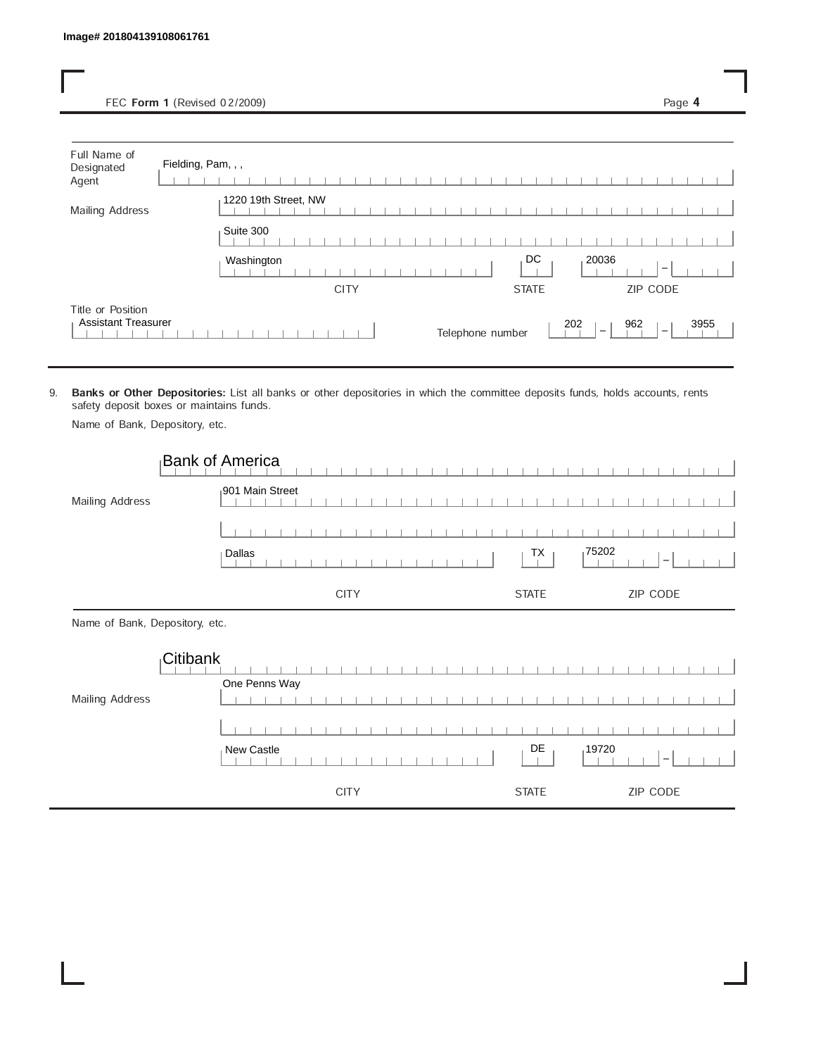FEC Form 1 (Revised 02/2009) Page 4

| Full Name of<br>Designated<br>Agent             | Fielding, Pam, , ,                                                   |      |
|-------------------------------------------------|----------------------------------------------------------------------|------|
| Mailing Address                                 | 1220 19th Street, NW                                                 |      |
|                                                 | Suite 300                                                            |      |
|                                                 | DC<br>20036<br>Washington<br>$\overline{\phantom{a}}$                |      |
|                                                 | ZIP CODE<br><b>CITY</b><br><b>STATE</b>                              |      |
| Title or Position<br><b>Assistant Treasurer</b> | 962<br>202<br>Telephone number<br>$\overline{\phantom{a}}$<br>$\sim$ | 3955 |

9. Banks or Other Depositories: List all banks or other depositories in which the committee deposits funds, holds accounts, rents safety deposit boxes or maintains funds.

Name of Bank, Depository, etc.

|                                | <b>Bank of America</b> |              |                          |
|--------------------------------|------------------------|--------------|--------------------------|
| Mailing Address                | 901 Main Street        |              |                          |
|                                |                        |              |                          |
|                                | Dallas                 | 175202<br>TX | $\overline{\phantom{a}}$ |
|                                | <b>CITY</b>            | <b>STATE</b> | ZIP CODE                 |
| Name of Bank, Depository, etc. |                        |              |                          |
|                                | Citibank               |              |                          |
|                                | One Penns Way          |              |                          |
| Mailing Address                |                        |              |                          |
|                                |                        |              |                          |
|                                | New Castle             | DE<br>19720  |                          |
|                                | <b>CITY</b>            | <b>STATE</b> | ZIP CODE                 |